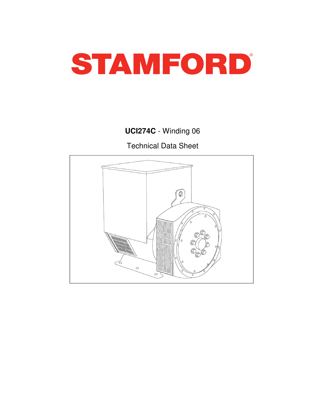

# **UCI274C** - Winding 06

Technical Data Sheet

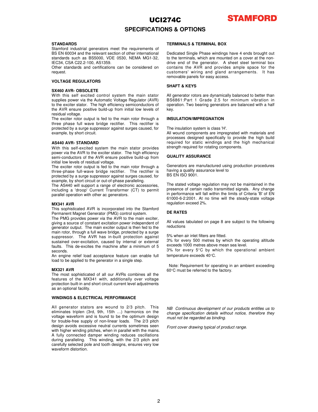

### **SPECIFICATIONS & OPTIONS**

#### **STANDARDS**

Stamford industrial generators meet the requirements of BS EN 60034 and the relevant section of other international standards such as BS5000, VDE 0530, NEMA MG1-32, IEC34, CSA C22.2-100, AS1359.

Other standards and certifications can be considered on request.

### **VOLTAGE REGULATORS**

#### **SX460 AVR- OBSOLETE**

With this self excited control system the main stator supplies power via the Automatic Voltage Regulator (AVR) to the exciter stator. The high efficiency semiconductors of the AVR ensure positive build-up from initial low levels of residual voltage.

The exciter rotor output is fed to the main rotor through a three phase full wave bridge rectifier. This rectifier is protected by a surge suppressor against surges caused, for example, by short circuit.

#### **AS440 AVR**- STANDARD

With this self-excited system the main stator provides power via the AVR to the exciter stator. The high efficiency semi-conductors of the AVR ensure positive build-up from initial low levels of residual voltage.

The exciter rotor output is fed to the main rotor through a three-phase full-wave bridge rectifier. The rectifier is protected by a surge suppressor against surges caused, for example, by short circuit or out-of-phase paralleling.

The AS440 will support a range of electronic accessories, including a 'droop' Current Transformer (CT) to permit parallel operation with other ac generators.

#### **MX341 AVR**

This sophisticated AVR is incorporated into the Stamford Permanent Magnet Generator (PMG) control system.

The PMG provides power via the AVR to the main exciter, giving a source of constant excitation power independent of generator output. The main exciter output is then fed to the main rotor, through a full wave bridge, protected by a surge suppressor. The AVR has in-built protection against sustained over-excitation, caused by internal or external faults. This de-excites the machine after a minimum of 5 seconds.

An engine relief load acceptance feature can enable full load to be applied to the generator in a single step.

#### **MX321 AVR**

The most sophisticated of all our AVRs combines all the features of the MX341 with, additionally over voltage protection built-in and short circuit current level adjustments as an optional facility.

#### **WINDINGS & ELECTRICAL PERFORMANCE**

All generator stators are wound to 2/3 pitch. This eliminates triplen (3rd, 9th, 15th …) harmonics on the voltage waveform and is found to be the optimum design for trouble-free supply of non-linear loads. The 2/3 pitch design avoids excessive neutral currents sometimes seen with higher winding pitches, when in parallel with the mains. A fully connected damper winding reduces oscillations during paralleling. This winding, with the 2/3 pitch and carefully selected pole and tooth designs, ensures very low waveform distortion.

#### **TERMINALS & TERMINAL BOX**

Dedicated Single Phase windings have 4 ends brought out to the terminals, which are mounted on a cover at the nondrive end of the generator. A sheet steel terminal box contains the AVR and provides ample space for the customers' wiring and gland arrangements. It has removable panels for easy access.

### **SHAFT & KEYS**

All generator rotors are dynamically balanced to better than BS6861:Part 1 Grade 2.5 for minimum vibration in operation. Two bearing generators are balanced with a half key.

### **INSULATION/IMPREGNATION**

The insulation system is class 'H'.

All wound components are impregnated with materials and processes designed specifically to provide the high build required for static windings and the high mechanical strength required for rotating components.

#### **QUALITY ASSURANCE**

Generators are manufactured using production procedures having a quality assurance level to BS EN ISO 9001.

The stated voltage regulation may not be maintained in the

presence of certain radio transmitted signals. Any change in performance will fall within the limits of Criteria 'B' of EN 61000-6-2:2001. At no time will the steady-state voltage regulation exceed 2%.

### **DE RATES**

All values tabulated on page 8 are subject to the following reductions

5% when air inlet filters are fitted.

3% for every 500 metres by which the operating altitude exceeds 1000 metres above mean sea level.

3% for every 5°C by which the operational ambient temperature exceeds 40°C.

Note: Requirement for operating in an ambient exceeding 60°C must be referred to the factory.

NB Continuous development of our products entitles us to change specification details without notice, therefore they must not be regarded as binding.

Front cover drawing typical of product range.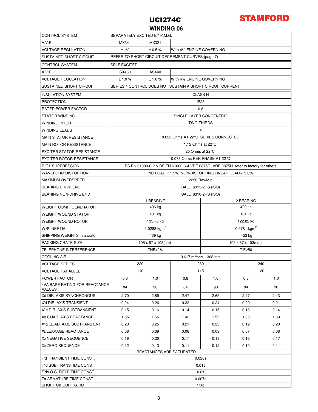

### **WINDING 06**

| <b>CONTROL SYSTEM</b>                                 | SEPARATELY EXCITED BY P.M.G.                                                         |                                 |                  |                                 |      |      |  |  |  |
|-------------------------------------------------------|--------------------------------------------------------------------------------------|---------------------------------|------------------|---------------------------------|------|------|--|--|--|
| A.V.B.                                                | MX341<br>MX321                                                                       |                                 |                  |                                 |      |      |  |  |  |
| <b>VOLTAGE REGULATION</b>                             | With 4% ENGINE GOVERNING<br>± 1%<br>± 0.5 %                                          |                                 |                  |                                 |      |      |  |  |  |
| <b>SUSTAINED SHORT CIRCUIT</b>                        | REFER TO SHORT CIRCUIT DECREMENT CURVES (page 7)                                     |                                 |                  |                                 |      |      |  |  |  |
| <b>CONTROL SYSTEM</b>                                 | <b>SELF EXCITED</b>                                                                  |                                 |                  |                                 |      |      |  |  |  |
| A.V.R.                                                | SX460                                                                                | AS440                           |                  |                                 |      |      |  |  |  |
| <b>VOLTAGE REGULATION</b>                             | ±1.0%<br>±1.0%                                                                       |                                 |                  | With 4% ENGINE GOVERNING        |      |      |  |  |  |
| <b>SUSTAINED SHORT CIRCUIT</b>                        | SERIES 4 CONTROL DOES NOT SUSTAIN A SHORT CIRCUIT CURRENT                            |                                 |                  |                                 |      |      |  |  |  |
| <b>INSULATION SYSTEM</b>                              | <b>CLASS H</b>                                                                       |                                 |                  |                                 |      |      |  |  |  |
| <b>PROTECTION</b>                                     | IP <sub>23</sub>                                                                     |                                 |                  |                                 |      |      |  |  |  |
| <b>RATED POWER FACTOR</b>                             | 0.8                                                                                  |                                 |                  |                                 |      |      |  |  |  |
| <b>STATOR WINDING</b>                                 | SINGLE LAYER CONCENTRIC                                                              |                                 |                  |                                 |      |      |  |  |  |
| <b>WINDING PITCH</b>                                  | <b>TWO THIRDS</b>                                                                    |                                 |                  |                                 |      |      |  |  |  |
| <b>WINDING LEADS</b>                                  | 4                                                                                    |                                 |                  |                                 |      |      |  |  |  |
| <b>MAIN STATOR RESISTANCE</b>                         | 0.022 Ohms AT 22℃ SERIES CONNECTED                                                   |                                 |                  |                                 |      |      |  |  |  |
| <b>MAIN ROTOR RESISTANCE</b>                          | 1.12 Ohms at $22^{\circ}$ C                                                          |                                 |                  |                                 |      |      |  |  |  |
| <b>EXCITER STATOR RESISTANCE</b>                      | 20 Ohms at 22℃                                                                       |                                 |                  |                                 |      |      |  |  |  |
| <b>EXCITER ROTOR RESISTANCE</b>                       | 0.078 Ohms PER PHASE AT 22℃                                                          |                                 |                  |                                 |      |      |  |  |  |
| <b>R.F.I. SUPPRESSION</b>                             | BS EN 61000-6-2 & BS EN 61000-6-4, VDE 0875G, VDE 0875N, refer to factory for others |                                 |                  |                                 |      |      |  |  |  |
| <b>WAVEFORM DISTORTION</b>                            | NO LOAD < $1.5\%$ NON-DISTORTING LINEAR LOAD < $5.0\%$                               |                                 |                  |                                 |      |      |  |  |  |
| <b>MAXIMUM OVERSPEED</b>                              | 2250 Rev/Min                                                                         |                                 |                  |                                 |      |      |  |  |  |
| <b>BEARING DRIVE END</b>                              | BALL. 6315-2RS (ISO)                                                                 |                                 |                  |                                 |      |      |  |  |  |
| <b>BEARING NON-DRIVE END</b>                          | BALL. 6310-2RS (ISO)                                                                 |                                 |                  |                                 |      |      |  |  |  |
|                                                       | 1 BEARING<br>2 BEARING                                                               |                                 |                  |                                 |      |      |  |  |  |
| <b>WEIGHT COMP. GENERATOR</b>                         |                                                                                      | 406 kg                          |                  | 420 kg                          |      |      |  |  |  |
| <b>WEIGHT WOUND STATOR</b>                            |                                                                                      | 131 kg                          |                  | 131 kg                          |      |      |  |  |  |
| <b>WEIGHT WOUND ROTOR</b>                             |                                                                                      | 133.78 kg                       |                  | 122.82 kg                       |      |      |  |  |  |
| <b>WR<sup>2</sup> INERTIA</b>                         |                                                                                      | 1.0288 $kgm2$                   |                  | $0.9781$ kgm <sup>2</sup>       |      |      |  |  |  |
| SHIPPING WEIGHTS in a crate                           |                                                                                      | 439 kg                          |                  | 452 kg                          |      |      |  |  |  |
| <b>PACKING CRATE SIZE</b>                             |                                                                                      | $105 \times 67 \times 103$ (cm) |                  | $105 \times 67 \times 103$ (cm) |      |      |  |  |  |
| <b>TELEPHONE INTERFERENCE</b>                         |                                                                                      | <b>THF&lt;2%</b>                | <b>TIF&lt;50</b> |                                 |      |      |  |  |  |
| <b>COOLING AIR</b>                                    | 0.617 m <sup>3</sup> /sec 1308 cfm                                                   |                                 |                  |                                 |      |      |  |  |  |
| <b>VOLTAGE SERIES</b>                                 |                                                                                      | 220                             |                  | 230<br>240                      |      |      |  |  |  |
| <b>VOLTAGE PARALLEL</b>                               | 110                                                                                  |                                 | 115              |                                 | 120  |      |  |  |  |
| <b>POWER FACTOR</b>                                   | 0.8                                                                                  | 1.0                             | 0.8              | 1.0                             | 0.8  | 1.0  |  |  |  |
| <b>kVA BASE RATING FOR REACTANCE</b><br><b>VALUES</b> | 84                                                                                   | 90                              | 84               | 90                              | 84   | 90   |  |  |  |
| Xd DIR. AXIS SYNCHRONOUS                              | 2.70                                                                                 | 2.89                            | 2.47             | 2.65                            | 2.27 | 2.43 |  |  |  |
| X'd DIR. AXIS TRANSIENT                               | 0.24                                                                                 | 0.26                            | 0.22             | 0.24                            | 0.20 | 0.21 |  |  |  |
| X"d DIR. AXIS SUBTRANSIENT                            | 0.15                                                                                 | 0.16                            | 0.14             | 0.15                            | 0.13 | 0.14 |  |  |  |
| Xg QUAD. AXIS REACTANCE                               | 1.55                                                                                 | 1.66                            | 1.42             | 1.52                            | 1.30 | 1.39 |  |  |  |
| X"a QUAD, AXIS SUBTRANSIENT                           | 0.23                                                                                 | 0.25                            | 0.21             | 0.23                            | 0.19 | 0.20 |  |  |  |
| XL LEAKAGE REACTANCE                                  | 0.08                                                                                 | 0.09                            | 0.08             | 0.09                            | 0.07 | 0.08 |  |  |  |
| X <sub>2</sub> NEGATIVE SEQUENCE                      | 0.19                                                                                 | 0.20                            | 0.17             | 0.18                            | 0.16 | 0.17 |  |  |  |
| X <sub>0</sub> ZERO SEQUENCE                          | 0.12                                                                                 | 0.13                            | 0.11             | 0.12                            | 0.10 | 0.11 |  |  |  |
|                                                       |                                                                                      | REACTANCES ARE SATURATED        |                  |                                 |      |      |  |  |  |
| T'd TRANSIENT TIME CONST.                             | 0.028s                                                                               |                                 |                  |                                 |      |      |  |  |  |
| T"d SUB-TRANSTIME CONST.                              | 0.01s                                                                                |                                 |                  |                                 |      |      |  |  |  |
| T'do O.C. FIELD TIME CONST.                           | 0.8s                                                                                 |                                 |                  |                                 |      |      |  |  |  |
| Ta ARMATURE TIME CONST.                               |                                                                                      |                                 | 0.007s           |                                 |      |      |  |  |  |
| SHORT CIRCUIT RATIO                                   | 1/Xd                                                                                 |                                 |                  |                                 |      |      |  |  |  |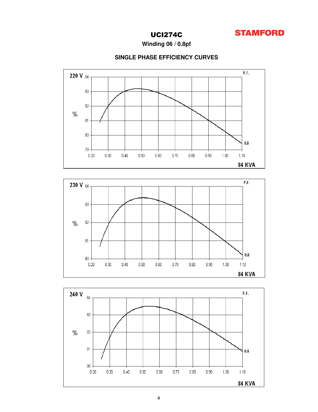

Winding 06 / 0.8pf

### SINGLE PHASE EFFICIENCY CURVES





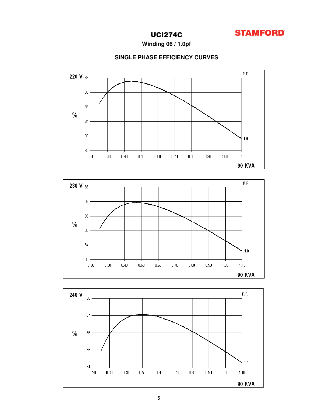

Winding 06 / 1.0pf

### SINGLE PHASE EFFICIENCY CURVES



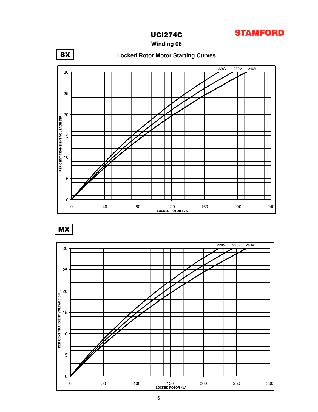

**Winding 06**



MX

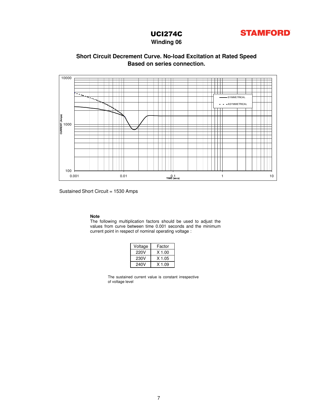

### **Winding 06**

### **Based on series connection. Short Circuit Decrement Curve. No-load Excitation at Rated Speed**



Sustained Short Circuit = 1530 Amps

### **Note**

The following multiplication factors should be used to adjust the values from curve between time 0.001 seconds and the minimum current point in respect of nominal operating voltage :

| Voltage | Factor   |  |  |  |  |  |
|---------|----------|--|--|--|--|--|
| 220V    | $X$ 1.00 |  |  |  |  |  |
| 230V    | $X$ 1.05 |  |  |  |  |  |
| 240V    | X 1.09   |  |  |  |  |  |

The sustained current value is constant irrespective of voltage level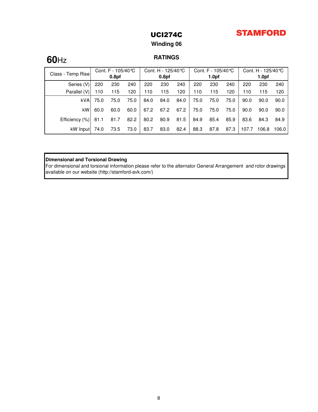## **STAMFORD**

## UCI274C

## **Winding 06**

### **RATINGS**

| Class - Temp Rise | Cont. F - $105/40^{\circ}$ C |                   | Cont. H - 125/40 ℃ |      | Cont. F - $105/40$ °C |      |      | Cont. H - 125/40 ℃ |      |       |                   |       |
|-------------------|------------------------------|-------------------|--------------------|------|-----------------------|------|------|--------------------|------|-------|-------------------|-------|
|                   |                              | 0.8 <sub>pf</sub> |                    |      | 0.8 <sub>pf</sub>     |      |      | 1.0 <sub>pf</sub>  |      |       | 1.0 <sub>pf</sub> |       |
| Series (V)        | 220                          | 230               | 240                | 220  | 230                   | 240  | 220  | 230                | 240  | 220   | 230               | 240   |
| Parallel (V)      | 110                          | 115               | 120                | 110  | 115                   | 120  | 110  | 115                | 120  | 110   | 115               | 120   |
| <b>kVA</b>        | 75.0                         | 75.0              | 75.0               | 84.0 | 84.0                  | 84.0 | 75.0 | 75.0               | 75.0 | 90.0  | 90.0              | 90.0  |
| kW                | 60.0                         | 60.0              | 60.0               | 67.2 | 67.2                  | 67.2 | 75.0 | 75.0               | 75.0 | 90.0  | 90.0              | 90.0  |
| Efficiency (%)    | 81.1                         | 81.7              | 82.2               | 80.2 | 80.9                  | 81.5 | 84.9 | 85.4               | 85.9 | 83.6  | 84.3              | 84.9  |
| kW Input          | 74.0                         | 73.5              | 73.0               | 83.7 | 83.0                  | 82.4 | 88.3 | 87.8               | 87.3 | 107.7 | 106.8             | 106.0 |

### **Dimensional and Torsional Drawing**

For dimensional and torsional information please refer to the alternator General Arrangement and rotor drawings available on our website (http://stamford-avk.com/)

# **60**Hz